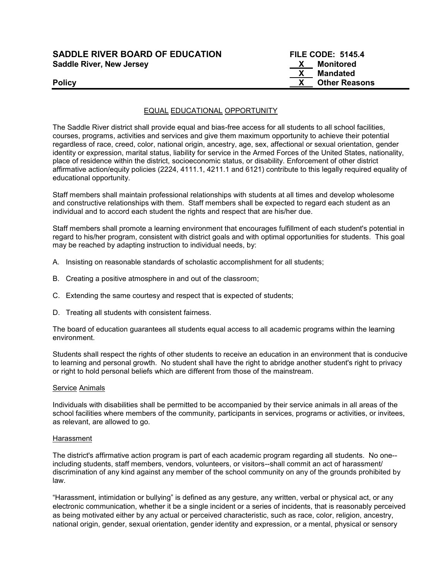# SADDLE RIVER BOARD OF EDUCATION FILE CODE: 5145.4 Saddle River, New Jersey Manual According to the Monitored Manual According to the Monitored

# X Mandated Policy **Example 2018 CONSERVING 2018 CONSERVING 2018 CONSERVING 2019 CONSERVING 2019 CONSERVING 2019 CONSERVING 2019 CONSERVING 2019 CONSERVING 2019 CONSERVING 2019 CONSERVING 2019 CONSERVING 2019 C**

# EQUAL EDUCATIONAL OPPORTUNITY

The Saddle River district shall provide equal and bias-free access for all students to all school facilities, courses, programs, activities and services and give them maximum opportunity to achieve their potential regardless of race, creed, color, national origin, ancestry, age, sex, affectional or sexual orientation, gender identity or expression, marital status, liability for service in the Armed Forces of the United States, nationality, place of residence within the district, socioeconomic status, or disability. Enforcement of other district affirmative action/equity policies (2224, 4111.1, 4211.1 and 6121) contribute to this legally required equality of educational opportunity.

Staff members shall maintain professional relationships with students at all times and develop wholesome and constructive relationships with them. Staff members shall be expected to regard each student as an individual and to accord each student the rights and respect that are his/her due.

Staff members shall promote a learning environment that encourages fulfillment of each student's potential in regard to his/her program, consistent with district goals and with optimal opportunities for students. This goal may be reached by adapting instruction to individual needs, by:

- A. Insisting on reasonable standards of scholastic accomplishment for all students;
- B. Creating a positive atmosphere in and out of the classroom;
- C. Extending the same courtesy and respect that is expected of students;
- D. Treating all students with consistent fairness.

The board of education guarantees all students equal access to all academic programs within the learning environment.

Students shall respect the rights of other students to receive an education in an environment that is conducive to learning and personal growth. No student shall have the right to abridge another student's right to privacy or right to hold personal beliefs which are different from those of the mainstream.

#### Service Animals

Individuals with disabilities shall be permitted to be accompanied by their service animals in all areas of the school facilities where members of the community, participants in services, programs or activities, or invitees, as relevant, are allowed to go.

# Harassment

The district's affirmative action program is part of each academic program regarding all students. No one- including students, staff members, vendors, volunteers, or visitors--shall commit an act of harassment/ discrimination of any kind against any member of the school community on any of the grounds prohibited by law.

"Harassment, intimidation or bullying" is defined as any gesture, any written, verbal or physical act, or any electronic communication, whether it be a single incident or a series of incidents, that is reasonably perceived as being motivated either by any actual or perceived characteristic, such as race, color, religion, ancestry, national origin, gender, sexual orientation, gender identity and expression, or a mental, physical or sensory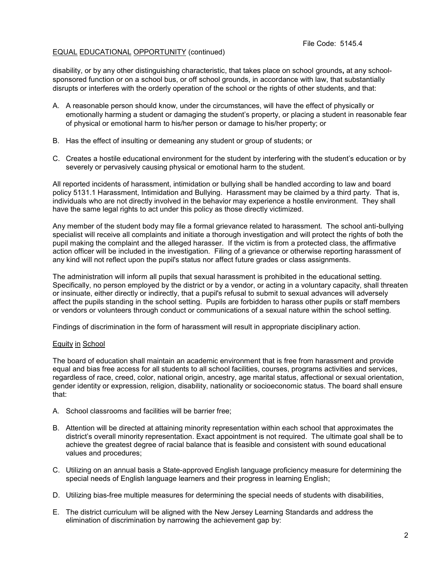# EQUAL EDUCATIONAL OPPORTUNITY (continued)

disability, or by any other distinguishing characteristic, that takes place on school grounds, at any schoolsponsored function or on a school bus, or off school grounds, in accordance with law, that substantially disrupts or interferes with the orderly operation of the school or the rights of other students, and that:

- A. A reasonable person should know, under the circumstances, will have the effect of physically or emotionally harming a student or damaging the student's property, or placing a student in reasonable fear of physical or emotional harm to his/her person or damage to his/her property; or
- B. Has the effect of insulting or demeaning any student or group of students; or
- C. Creates a hostile educational environment for the student by interfering with the student's education or by severely or pervasively causing physical or emotional harm to the student.

All reported incidents of harassment, intimidation or bullying shall be handled according to law and board policy 5131.1 Harassment, Intimidation and Bullying. Harassment may be claimed by a third party. That is, individuals who are not directly involved in the behavior may experience a hostile environment. They shall have the same legal rights to act under this policy as those directly victimized.

Any member of the student body may file a formal grievance related to harassment. The school anti-bullying specialist will receive all complaints and initiate a thorough investigation and will protect the rights of both the pupil making the complaint and the alleged harasser. If the victim is from a protected class, the affirmative action officer will be included in the investigation. Filing of a grievance or otherwise reporting harassment of any kind will not reflect upon the pupil's status nor affect future grades or class assignments.

The administration will inform all pupils that sexual harassment is prohibited in the educational setting. Specifically, no person employed by the district or by a vendor, or acting in a voluntary capacity, shall threaten or insinuate, either directly or indirectly, that a pupil's refusal to submit to sexual advances will adversely affect the pupils standing in the school setting. Pupils are forbidden to harass other pupils or staff members or vendors or volunteers through conduct or communications of a sexual nature within the school setting.

Findings of discrimination in the form of harassment will result in appropriate disciplinary action.

# Equity in School

The board of education shall maintain an academic environment that is free from harassment and provide equal and bias free access for all students to all school facilities, courses, programs activities and services, regardless of race, creed, color, national origin, ancestry, age marital status, affectional or sexual orientation, gender identity or expression, religion, disability, nationality or socioeconomic status. The board shall ensure that:

- A. School classrooms and facilities will be barrier free;
- B. Attention will be directed at attaining minority representation within each school that approximates the district's overall minority representation. Exact appointment is not required. The ultimate goal shall be to achieve the greatest degree of racial balance that is feasible and consistent with sound educational values and procedures;
- C. Utilizing on an annual basis a State-approved English language proficiency measure for determining the special needs of English language learners and their progress in learning English;
- D. Utilizing bias-free multiple measures for determining the special needs of students with disabilities,
- E. The district curriculum will be aligned with the New Jersey Learning Standards and address the elimination of discrimination by narrowing the achievement gap by: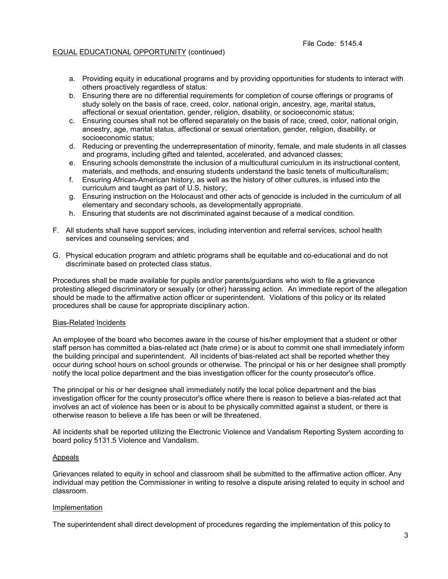# EQUAL EDUCATIONAL OPPORTUNITY (continued)

- a. Providing equity in educational programs and by providing opportunities for students to interact with others proactively regardless of status:
- b. Ensuring there are no differential requirements for completion of course offerings or programs of study solely on the basis of race, creed, color, national origin, ancestry, age, marital status, affectional or sexual orientation, gender, religion, disability, or socioeconomic status;
- c. Ensuring courses shall not be offered separately on the basis of race, creed, color, national origin, ancestry, age, marital status, affectional or sexual orientation, gender, religion, disability, or socioeconomic status;
- d. Reducing or preventing the underrepresentation of minority, female, and male students in all classes and programs, including gifted and talented, accelerated, and advanced classes;
- e. Ensuring schools demonstrate the inclusion of a multicultural curriculum in its instructional content, materials, and methods, and ensuring students understand the basic tenets of multiculturalism;
- f. Ensuring African-American history, as well as the history of other cultures, is infused into the curriculum and taught as part of U.S. history;
- g. Ensuring instruction on the Holocaust and other acts of genocide is included in the curriculum of all elementary and secondary schools, as developmentally appropriate.
- h. Ensuring that students are not discriminated against because of a medical condition.
- F. All students shall have support services, including intervention and referral services, school health services and counseling services; and
- G. Physical education program and athletic programs shall be equitable and co-educational and do not discriminate based on protected class status.

Procedures shall be made available for pupils and/or parents/guardians who wish to file a grievance protesting alleged discriminatory or sexually (or other) harassing action. An immediate report of the allegation should be made to the affirmative action officer or superintendent. Violations of this policy or its related procedures shall be cause for appropriate disciplinary action.

# Bias-Related Incidents

An employee of the board who becomes aware in the course of his/her employment that a student or other staff person has committed a bias-related act (hate crime) or is about to commit one shall immediately inform the building principal and superintendent. All incidents of bias-related act shall be reported whether they occur during school hours on school grounds or otherwise. The principal or his or her designee shall promptly notify the local police department and the bias investigation officer for the county prosecutor's office.

The principal or his or her designee shall immediately notify the local police department and the bias investigation officer for the county prosecutor's office where there is reason to believe a bias-related act that involves an act of violence has been or is about to be physically committed against a student, or there is otherwise reason to believe a life has been or will be threatened.

All incidents shall be reported utilizing the Electronic Violence and Vandalism Reporting System according to board policy 5131.5 Violence and Vandalism.

# Appeals

Grievances related to equity in school and classroom shall be submitted to the affirmative action officer. Any individual may petition the Commissioner in writing to resolve a dispute arising related to equity in school and classroom.

# Implementation

The superintendent shall direct development of procedures regarding the implementation of this policy to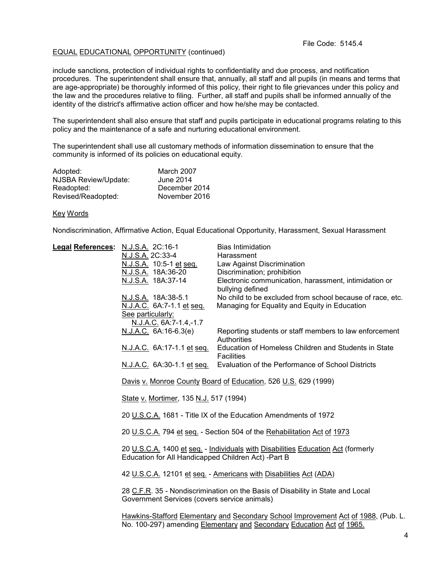# EQUAL EDUCATIONAL OPPORTUNITY (continued)

include sanctions, protection of individual rights to confidentiality and due process, and notification procedures. The superintendent shall ensure that, annually, all staff and all pupils (in means and terms that are age-appropriate) be thoroughly informed of this policy, their right to file grievances under this policy and the law and the procedures relative to filing. Further, all staff and pupils shall be informed annually of the identity of the district's affirmative action officer and how he/she may be contacted.

The superintendent shall also ensure that staff and pupils participate in educational programs relating to this policy and the maintenance of a safe and nurturing educational environment.

The superintendent shall use all customary methods of information dissemination to ensure that the community is informed of its policies on educational equity.

| Adopted:             | March 2007    |
|----------------------|---------------|
| NJSBA Review/Update: | June 2014     |
| Readopted:           | December 2014 |
| Revised/Readopted:   | November 2016 |

#### Key Words

Nondiscrimination, Affirmative Action, Equal Educational Opportunity, Harassment, Sexual Harassment

| Legal References: N.J.S.A. 2C:16-1 |                                                                                                                                          | <b>Bias Intimidation</b>                                                                                                                                    |  |
|------------------------------------|------------------------------------------------------------------------------------------------------------------------------------------|-------------------------------------------------------------------------------------------------------------------------------------------------------------|--|
|                                    | N.J.S.A. 2C:33-4                                                                                                                         | Harassment                                                                                                                                                  |  |
|                                    | N.J.S.A. 10:5-1 et seq.                                                                                                                  | Law Against Discrimination                                                                                                                                  |  |
|                                    | N.J.S.A. 18A:36-20                                                                                                                       | Discrimination; prohibition                                                                                                                                 |  |
|                                    | N.J.S.A. 18A:37-14                                                                                                                       | Electronic communication, harassment, intimidation or<br>bullying defined                                                                                   |  |
|                                    | N.J.S.A. 18A:38-5.1                                                                                                                      | No child to be excluded from school because of race, etc.                                                                                                   |  |
|                                    | N.J.A.C. 6A:7-1.1 et seq.                                                                                                                | Managing for Equality and Equity in Education                                                                                                               |  |
|                                    | See particularly:<br>N.J.A.C. 6A:7-1.4,-1.7                                                                                              |                                                                                                                                                             |  |
|                                    | N.J.A.C. 6A:16-6.3(e)                                                                                                                    | Reporting students or staff members to law enforcement<br>Authorities                                                                                       |  |
|                                    | N.J.A.C. 6A:17-1.1 et seq.                                                                                                               | Education of Homeless Children and Students in State<br><b>Facilities</b>                                                                                   |  |
|                                    |                                                                                                                                          | N.J.A.C. 6A:30-1.1 et seq. Evaluation of the Performance of School Districts                                                                                |  |
|                                    | Davis v. Monroe County Board of Education, 526 U.S. 629 (1999)                                                                           |                                                                                                                                                             |  |
|                                    | State v. Mortimer, 135 N.J. 517 (1994)                                                                                                   |                                                                                                                                                             |  |
|                                    | 20 U.S.C.A. 1681 - Title IX of the Education Amendments of 1972                                                                          |                                                                                                                                                             |  |
|                                    | 20 U.S.C.A. 794 et seq. - Section 504 of the Rehabilitation Act of 1973                                                                  |                                                                                                                                                             |  |
|                                    | 20 U.S.C.A. 1400 et seq. - Individuals with Disabilities Education Act (formerly<br>Education for All Handicapped Children Act) - Part B |                                                                                                                                                             |  |
|                                    |                                                                                                                                          | 42 U.S.C.A. 12101 et seq. - Americans with Disabilities Act (ADA)                                                                                           |  |
|                                    | Government Services (covers service animals)                                                                                             | 28 C.F.R. 35 - Nondiscrimination on the Basis of Disability in State and Local                                                                              |  |
|                                    |                                                                                                                                          | Hawkins-Stafford Elementary and Secondary School Improvement Act of 1988, (Pub. L.<br>No. 100-297) amending Elementary and Secondary Education Act of 1965. |  |